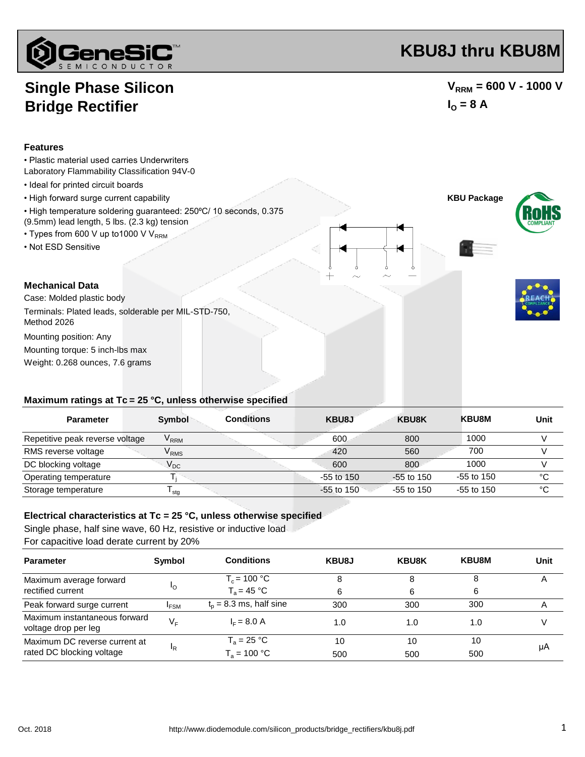

# **KBU8J thru KBU8M**

## **Single Phase Silicon Bridge Rectifier**

### $V_{RRM}$  = 600 V - 1000 V  $I_0 = 8 A$

#### **Features**

- Plastic material used carries Underwriters
- Laboratory Flammability Classification 94V-0
- Ideal for printed circuit boards
- 
- High temperature soldering guaranteed: 250°C/ 10 seconds, 0.375 (9.5mm) lead length, 5 lbs. (2.3 kg) tension
- Types from 600 V up to 1000 V V<sub>RRM</sub>
- Not ESD Sensitive



Case: Molded plastic body Terminals: Plated leads, solderable per MIL-STD-750,

Method 2026

Mounting position: Any

Weight: 0.268 ounces, 7.6 grams Mounting torque: 5 inch-lbs max

## **Maximum ratings at Tc = 25 °C, unless otherwise specified**

| <b>Parameter</b>                | Symbol                      | <b>Conditions</b> | KBU8J        | <b>KBU8K</b> | <b>KBU8M</b> | Unit |
|---------------------------------|-----------------------------|-------------------|--------------|--------------|--------------|------|
| Repetitive peak reverse voltage | $\mathsf{V}_\mathsf{RRM}$   |                   | 600          | 800          | 1000         |      |
| RMS reverse voltage             | $\mathsf{V}_{\mathsf{RMS}}$ |                   | 420          | 560          | 700          |      |
| DC blocking voltage             | $V_{DC}$                    |                   | 600          | 800          | 1000         |      |
| Operating temperature           |                             |                   | $-55$ to 150 | $-55$ to 150 | $-55$ to 150 | °C   |
| Storage temperature             | ∎ stq                       |                   | $-55$ to 150 | $-55$ to 150 | $-55$ to 150 | °C   |

#### **Electrical characteristics at Tc = 25 °C, unless otherwise specified**

Single phase, half sine wave, 60 Hz, resistive or inductive load For capacitive load derate current by 20%

| Symbol                                          | <b>Conditions</b>         | KBU8J | <b>KBU8K</b> | <b>KBU8M</b> | Unit |
|-------------------------------------------------|---------------------------|-------|--------------|--------------|------|
| 'O                                              | $T_c = 100 °C$            | 8     | 8            |              | A    |
|                                                 | $T_a = 45 °C$             | 6     | 6            | 6            |      |
| <sup>I</sup> FSM                                | $t_p = 8.3$ ms, half sine | 300   | 300          | 300          | Α    |
| V <sub>F</sub>                                  | $I_F = 8.0 A$             | 1.0   | 1.0          | 1.0          |      |
| Maximum DC reverse current at<br><sup>I</sup> R | $T_a = 25 °C$             | 10    | 10           | 10           | μA   |
|                                                 | $T_a = 100 °C$            | 500   | 500          | 500          |      |
|                                                 |                           |       |              |              |      |





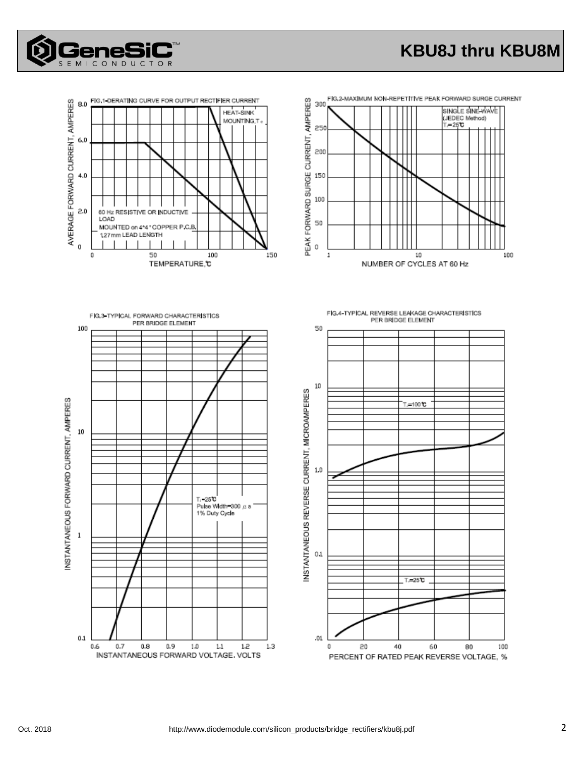

# **KBU8J thru KBU8M**